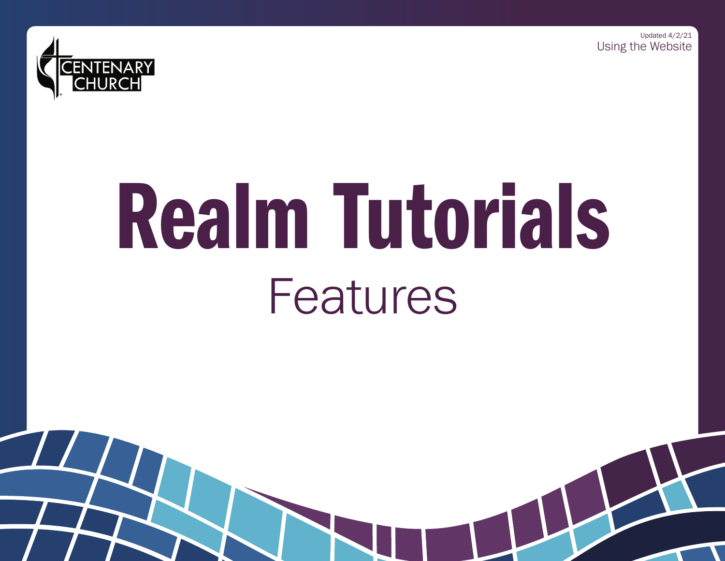Using the Website Updated 4/2/21



# Realm Tutorials Features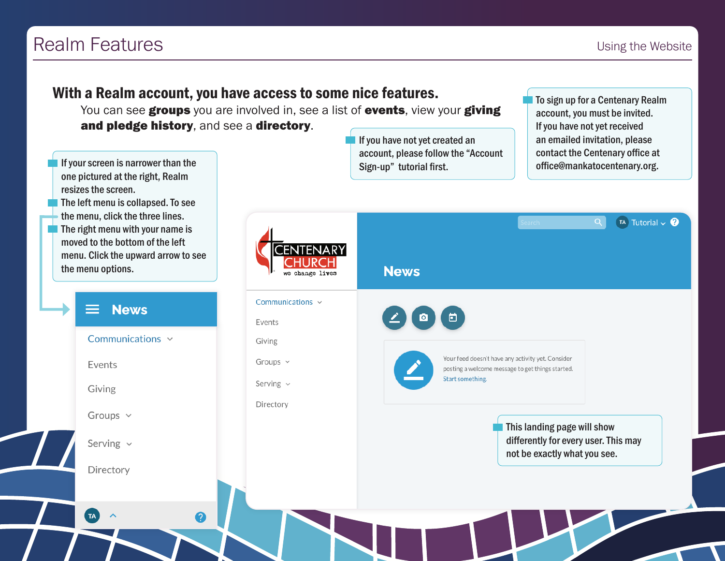## Realm Features **Internal and Security** 1989 and 2008 and 2008 and 2008 and 2008 and 2008 and 2008 and 2008 and 2008 and 2008 and 2008 and 2008 and 2008 and 2008 and 2008 and 2008 and 2008 and 2008 and 2008 and 2008 and 200

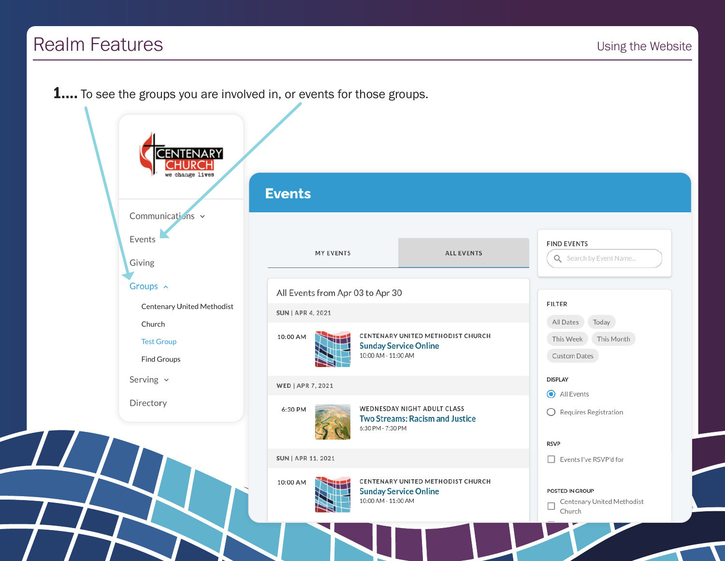## Realm Features

 $\overline{L}$ 

**1....** To see the groups you are involved in, or events for those groups.

|                                                   | <b>Events</b>                                                                                         |                                                               |
|---------------------------------------------------|-------------------------------------------------------------------------------------------------------|---------------------------------------------------------------|
| Communications v                                  |                                                                                                       |                                                               |
| Events<br>Giving                                  | <b>MY EVENTS</b><br><b>ALL EVENTS</b>                                                                 | <b>FIND EVENTS</b><br>Q Search by Event Name                  |
| Groups ^                                          | All Events from Apr 03 to Apr 30                                                                      |                                                               |
| Centenary United Methodist                        | SUN   APR 4, 2021                                                                                     | <b>FILTER</b>                                                 |
| Church<br><b>Test Group</b><br><b>Find Groups</b> | CENTENARY UNITED METHODIST CHURCH<br>10:00 AM<br><b>Sunday Service Online</b><br>10:00 AM - 11:00 AM  | All Dates<br>Today<br>This Week<br>This Month<br>Custom Dates |
| Serving $\sim$                                    | WED   APR 7, 2021                                                                                     | <b>DISPLAY</b>                                                |
| Directory                                         | <b>WEDNESDAY NIGHT ADULT CLASS</b><br>6:30 PM<br>Two Streams: Racism and Justice<br>6:30 PM - 7:30 PM | All Events<br>$\bigcirc$ Requires Registration                |
|                                                   |                                                                                                       | <b>RSVP</b>                                                   |
|                                                   | SUN   APR 11, 2021                                                                                    | Events I've RSVP'd for                                        |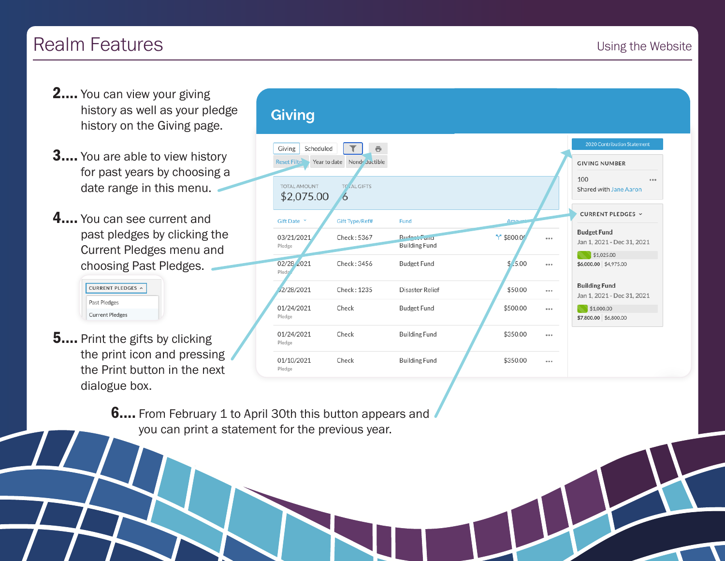## Realm Features **Internal and Security** 1989 1991 1992 1993 1994 1995 1996 1997 1998 1998 1999 1999 1999 1999 199

- **2....** You can view your giving history as well as your pledge history on the Giving page.
- **3....** You are able to view history for past years by choosing a date range in this menu.
- 4.... You can see current and past pledges by clicking the Current Pledges menu and choosing Past Pledges.

| CURRENT PLEDGES ^      |
|------------------------|
| Past Pledges           |
| <b>Current Pledges</b> |

**5....** Print the gifts by clicking the print icon and pressing the Print button in the next dialogue box.

### **Giving**



**6....** From February 1 to April 30th this button appears and you can print a statement for the previous year.